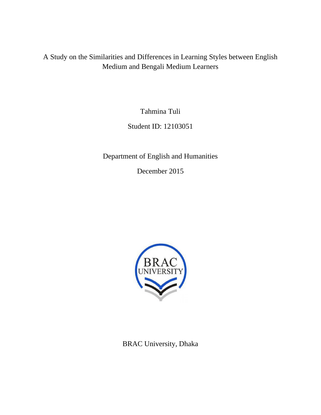A Study on the Similarities and Differences in Learning Styles between English Medium and Bengali Medium Learners

Tahmina Tuli

Student ID: 12103051

Department of English and Humanities

December 2015



BRAC University, Dhaka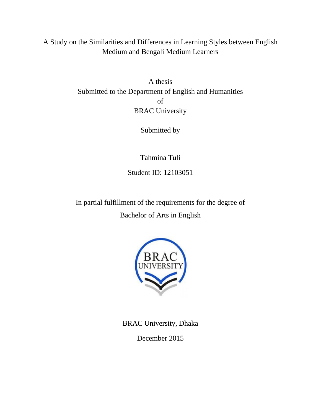A Study on the Similarities and Differences in Learning Styles between English Medium and Bengali Medium Learners

> A thesis Submitted to the Department of English and Humanities of BRAC University

> > Submitted by

Tahmina Tuli Student ID: 12103051

In partial fulfillment of the requirements for the degree of Bachelor of Arts in English



BRAC University, Dhaka

December 2015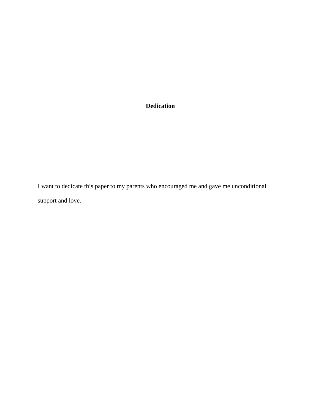## **Dedication**

I want to dedicate this paper to my parents who encouraged me and gave me unconditional support and love.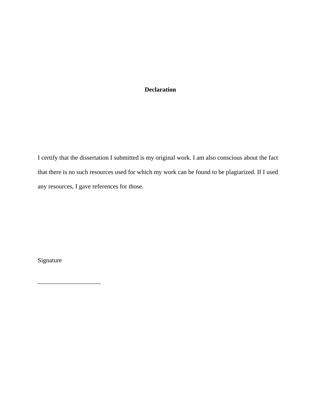### **Declaration**

I certify that the dissertation I submitted is my original work. I am also conscious about the fact that there is no such resources used for which my work can be found to be plagiarized. If I used any resources, I gave references for those.

Signature

\_\_\_\_\_\_\_\_\_\_\_\_\_\_\_\_\_\_\_\_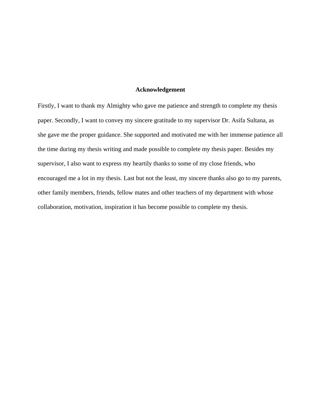### **Acknowledgement**

Firstly, I want to thank my Almighty who gave me patience and strength to complete my thesis paper. Secondly, I want to convey my sincere gratitude to my supervisor Dr. Asifa Sultana, as she gave me the proper guidance. She supported and motivated me with her immense patience all the time during my thesis writing and made possible to complete my thesis paper. Besides my supervisor, I also want to express my heartily thanks to some of my close friends, who encouraged me a lot in my thesis. Last but not the least, my sincere thanks also go to my parents, other family members, friends, fellow mates and other teachers of my department with whose collaboration, motivation, inspiration it has become possible to complete my thesis.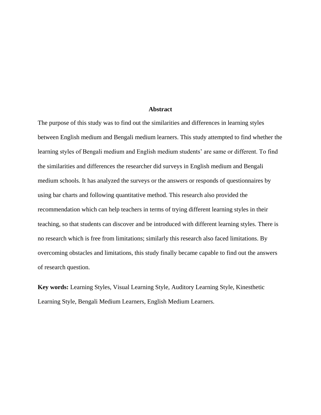#### **Abstract**

The purpose of this study was to find out the similarities and differences in learning styles between English medium and Bengali medium learners. This study attempted to find whether the learning styles of Bengali medium and English medium students' are same or different. To find the similarities and differences the researcher did surveys in English medium and Bengali medium schools. It has analyzed the surveys or the answers or responds of questionnaires by using bar charts and following quantitative method. This research also provided the recommendation which can help teachers in terms of trying different learning styles in their teaching, so that students can discover and be introduced with different learning styles. There is no research which is free from limitations; similarly this research also faced limitations. By overcoming obstacles and limitations, this study finally became capable to find out the answers of research question.

**Key words:** Learning Styles, Visual Learning Style, Auditory Learning Style, Kinesthetic Learning Style, Bengali Medium Learners, English Medium Learners.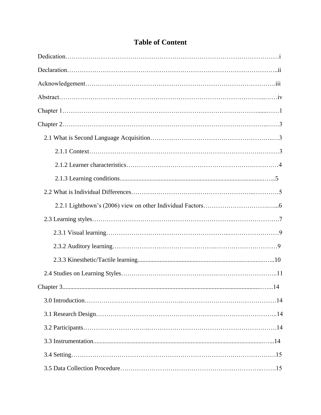| Chapter 3 | 14 |
|-----------|----|
|           |    |
|           |    |
|           |    |
|           |    |
|           |    |
|           |    |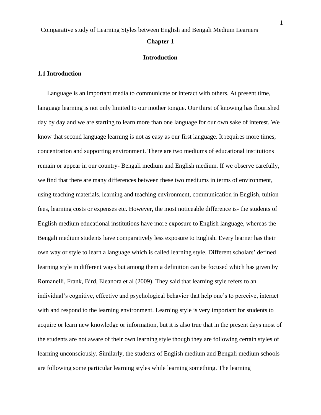#### **Chapter 1**

### **Introduction**

### **1.1 Introduction**

Language is an important media to communicate or interact with others. At present time, language learning is not only limited to our mother tongue. Our thirst of knowing has flourished day by day and we are starting to learn more than one language for our own sake of interest. We know that second language learning is not as easy as our first language. It requires more times, concentration and supporting environment. There are two mediums of educational institutions remain or appear in our country- Bengali medium and English medium. If we observe carefully, we find that there are many differences between these two mediums in terms of environment, using teaching materials, learning and teaching environment, communication in English, tuition fees, learning costs or expenses etc. However, the most noticeable difference is- the students of English medium educational institutions have more exposure to English language, whereas the Bengali medium students have comparatively less exposure to English. Every learner has their own way or style to learn a language which is called learning style. Different scholars" defined learning style in different ways but among them a definition can be focused which has given by Romanelli, Frank, Bird, Eleanora et al (2009). They said that learning style refers to an individual"s cognitive, effective and psychological behavior that help one"s to perceive, interact with and respond to the learning environment. Learning style is very important for students to acquire or learn new knowledge or information, but it is also true that in the present days most of the students are not aware of their own learning style though they are following certain styles of learning unconsciously. Similarly, the students of English medium and Bengali medium schools are following some particular learning styles while learning something. The learning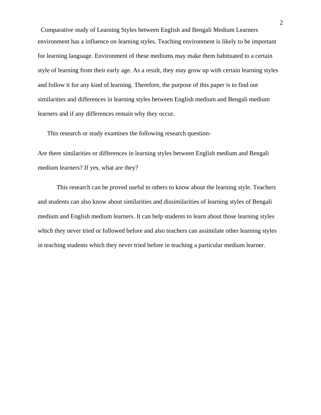Comparative study of Learning Styles between English and Bengali Medium Learners environment has a influence on learning styles. Teaching environment is likely to be important for learning language. Environment of these mediums may make them habituated to a certain style of learning from their early age. As a result, they may grow up with certain learning styles and follow it for any kind of learning. Therefore, the purpose of this paper is to find out similarities and differences in learning styles between English medium and Bengali medium learners and if any differences remain why they occur.

This research or study examines the following research question-

Are there similarities or differences in learning styles between English medium and Bengali medium learners? If yes, what are they?

This research can be proved useful to others to know about the learning style. Teachers and students can also know about similarities and dissimilarities of learning styles of Bengali medium and English medium learners. It can help students to learn about those learning styles which they never tried or followed before and also teachers can assimilate other learning styles in teaching students which they never tried before in teaching a particular medium learner.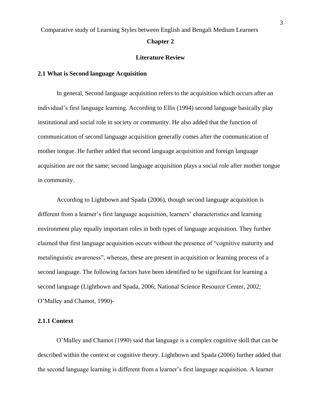### **Chapter 2**

### **Literature Review**

### **2.1 What is Second language Acquisition**

In general, Second language acquisition refers to the acquisition which occurs after an individual"s first language learning. According to Ellis (1994) second language basically play institutional and social role in society or community. He also added that the function of communication of second language acquisition generally comes after the communication of mother tongue. He further added that second language acquisition and foreign language acquisition are not the same; second language acquisition plays a social role after mother tongue in community.

According to Lightbown and Spada (2006), though second language acquisition is different from a learner's first language acquisition, learners' characteristics and learning environment play equally important roles in both types of language acquisition. They further claimed that first language acquisition occurs without the presence of "cognitive maturity and metalinguistic awareness", whereas, these are present in acquisition or learning process of a second language. The following factors have been identified to be significant for learning a second language (Lightbown and Spada, 2006; National Science Resource Center, 2002; O"Malley and Chamot, 1990)-

### **2.1.1 Context**

O"Malley and Chamot (1990) said that language is a complex cognitive skill that can be described within the context or cognitive theory. Lightbown and Spada (2006) further added that the second language learning is different from a learner"s first language acquisition. A learner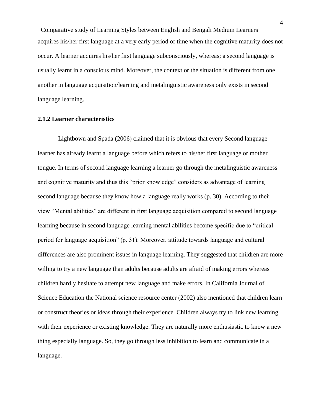Comparative study of Learning Styles between English and Bengali Medium Learners acquires his/her first language at a very early period of time when the cognitive maturity does not occur. A learner acquires his/her first language subconsciously, whereas; a second language is usually learnt in a conscious mind. Moreover, the context or the situation is different from one another in language acquisition/learning and metalinguistic awareness only exists in second language learning.

### **2.1.2 Learner characteristics**

Lightbown and Spada (2006) claimed that it is obvious that every Second language learner has already learnt a language before which refers to his/her first language or mother tongue. In terms of second language learning a learner go through the metalinguistic awareness and cognitive maturity and thus this "prior knowledge" considers as advantage of learning second language because they know how a language really works (p. 30). According to their view "Mental abilities" are different in first language acquisition compared to second language learning because in second language learning mental abilities become specific due to "critical period for language acquisition" (p. 31). Moreover, attitude towards language and cultural differences are also prominent issues in language learning. They suggested that children are more willing to try a new language than adults because adults are afraid of making errors whereas children hardly hesitate to attempt new language and make errors. In California Journal of Science Education the National science resource center (2002) also mentioned that children learn or construct theories or ideas through their experience. Children always try to link new learning with their experience or existing knowledge. They are naturally more enthusiastic to know a new thing especially language. So, they go through less inhibition to learn and communicate in a language.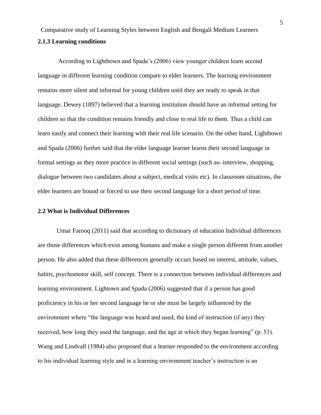## Comparative study of Learning Styles between English and Bengali Medium Learners **2.1.3 Learning conditions**

According to Lightbown and Spada"s (2006) view younger children learn second language in different learning condition compare to elder learners. The learning environment remains more silent and informal for young children until they are ready to speak in that language. Dewey (1897) believed that a learning institution should have an informal setting for children so that the condition remains friendly and close to real life to them. Thus a child can learn easily and connect their learning with their real life scenario. On the other hand, Lightbown and Spada (2006) further said that the elder language learner learns their second language in formal settings as they more practice in different social settings (such as- interview, shopping, dialogue between two candidates about a subject, medical visits etc). In classroom situations, the elder learners are bound or forced to use their second language for a short period of time.

### **2.2 What is Individual Differences**

Umar Farooq (2011) said that according to dictionary of education Individual differences are those differences which exist among humans and make a single person different from another person. He also added that these differences generally occurs based on interest, attitude, values, habits, psychomotor skill, self concept. There is a connection between individual differences and learning environment. Lightown and Spada (2006) suggested that if a person has good proficiency in his or her second language he or she must be largely influenced by the environment where "the language was heard and used, the kind of instruction (if any) they received, how long they used the language, and the age at which they began learning" (p. 53). Wang and Lindvall (1984) also proposed that a learner responded to the environment according to his individual learning style and in a learning environment teacher"s instruction is an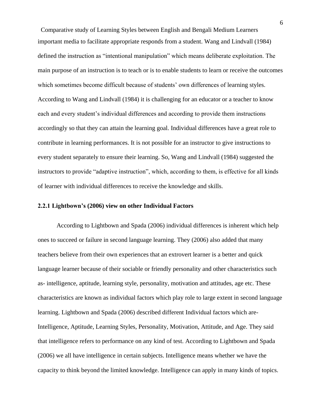Comparative study of Learning Styles between English and Bengali Medium Learners important media to facilitate appropriate responds from a student. Wang and Lindvall (1984) defined the instruction as "intentional manipulation" which means deliberate exploitation. The main purpose of an instruction is to teach or is to enable students to learn or receive the outcomes which sometimes become difficult because of students' own differences of learning styles. According to Wang and Lindvall (1984) it is challenging for an educator or a teacher to know each and every student"s individual differences and according to provide them instructions accordingly so that they can attain the learning goal. Individual differences have a great role to contribute in learning performances. It is not possible for an instructor to give instructions to every student separately to ensure their learning. So, Wang and Lindvall (1984) suggested the instructors to provide "adaptive instruction", which, according to them, is effective for all kinds of learner with individual differences to receive the knowledge and skills.

### **2.2.1 Lightbown's (2006) view on other Individual Factors**

According to Lightbown and Spada (2006) individual differences is inherent which help ones to succeed or failure in second language learning. They (2006) also added that many teachers believe from their own experiences that an extrovert learner is a better and quick language learner because of their sociable or friendly personality and other characteristics such as- intelligence, aptitude, learning style, personality, motivation and attitudes, age etc. These characteristics are known as individual factors which play role to large extent in second language learning. Lightbown and Spada (2006) described different Individual factors which are-Intelligence, Aptitude, Learning Styles, Personality, Motivation, Attitude, and Age. They said that intelligence refers to performance on any kind of test. According to Lightbown and Spada (2006) we all have intelligence in certain subjects. Intelligence means whether we have the capacity to think beyond the limited knowledge. Intelligence can apply in many kinds of topics.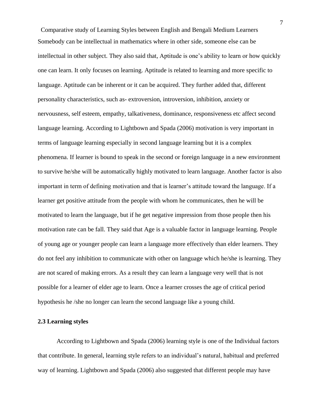Comparative study of Learning Styles between English and Bengali Medium Learners Somebody can be intellectual in mathematics where in other side, someone else can be intellectual in other subject. They also said that, Aptitude is one's ability to learn or how quickly one can learn. It only focuses on learning. Aptitude is related to learning and more specific to language. Aptitude can be inherent or it can be acquired. They further added that, different personality characteristics, such as- extroversion, introversion, inhibition, anxiety or nervousness, self esteem, empathy, talkativeness, dominance, responsiveness etc affect second language learning. According to Lightbown and Spada (2006) motivation is very important in terms of language learning especially in second language learning but it is a complex phenomena. If learner is bound to speak in the second or foreign language in a new environment to survive he/she will be automatically highly motivated to learn language. Another factor is also important in term of defining motivation and that is learner"s attitude toward the language. If a learner get positive attitude from the people with whom he communicates, then he will be motivated to learn the language, but if he get negative impression from those people then his motivation rate can be fall. They said that Age is a valuable factor in language learning. People of young age or younger people can learn a language more effectively than elder learners. They do not feel any inhibition to communicate with other on language which he/she is learning. They are not scared of making errors. As a result they can learn a language very well that is not possible for a learner of elder age to learn. Once a learner crosses the age of critical period hypothesis he /she no longer can learn the second language like a young child.

### **2.3 Learning styles**

According to Lightbown and Spada (2006) learning style is one of the Individual factors that contribute. In general, learning style refers to an individual"s natural, habitual and preferred way of learning. Lightbown and Spada (2006) also suggested that different people may have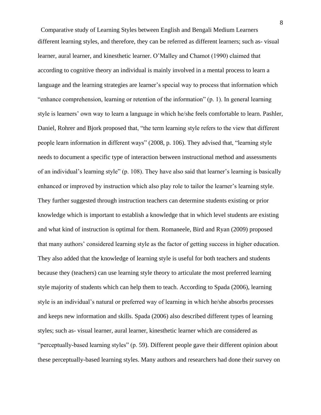Comparative study of Learning Styles between English and Bengali Medium Learners different learning styles, and therefore, they can be referred as different learners; such as- visual learner, aural learner, and kinesthetic learner. O"Malley and Chamot (1990) claimed that according to cognitive theory an individual is mainly involved in a mental process to learn a language and the learning strategies are learner's special way to process that information which "enhance comprehension, learning or retention of the information" (p. 1). In general learning style is learners' own way to learn a language in which he/she feels comfortable to learn. Pashler, Daniel, Rohrer and Bjork proposed that, "the term learning style refers to the view that different people learn information in different ways" (2008, p. 106). They advised that, "learning style needs to document a specific type of interaction between instructional method and assessments of an individual"s learning style" (p. 108). They have also said that learner"s learning is basically enhanced or improved by instruction which also play role to tailor the learner"s learning style. They further suggested through instruction teachers can determine students existing or prior knowledge which is important to establish a knowledge that in which level students are existing and what kind of instruction is optimal for them. Romaneele, Bird and Ryan (2009) proposed that many authors" considered learning style as the factor of getting success in higher education. They also added that the knowledge of learning style is useful for both teachers and students because they (teachers) can use learning style theory to articulate the most preferred learning style majority of students which can help them to teach. According to Spada (2006), learning style is an individual"s natural or preferred way of learning in which he/she absorbs processes and keeps new information and skills. Spada (2006) also described different types of learning styles; such as- visual learner, aural learner, kinesthetic learner which are considered as "perceptually-based learning styles" (p. 59). Different people gave their different opinion about these perceptually-based learning styles. Many authors and researchers had done their survey on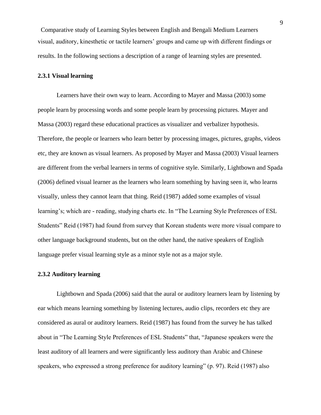Comparative study of Learning Styles between English and Bengali Medium Learners visual, auditory, kinesthetic or tactile learners" groups and came up with different findings or results. In the following sections a description of a range of learning styles are presented.

#### **2.3.1 Visual learning**

Learners have their own way to learn. According to Mayer and Massa (2003) some people learn by processing words and some people learn by processing pictures. Mayer and Massa (2003) regard these educational practices as visualizer and verbalizer hypothesis. Therefore, the people or learners who learn better by processing images, pictures, graphs, videos etc, they are known as visual learners. As proposed by Mayer and Massa (2003) Visual learners are different from the verbal learners in terms of cognitive style. Similarly, Lightbown and Spada (2006) defined visual learner as the learners who learn something by having seen it, who learns visually, unless they cannot learn that thing. Reid (1987) added some examples of visual learning's; which are - reading, studying charts etc. In "The Learning Style Preferences of ESL Students" Reid (1987) had found from survey that Korean students were more visual compare to other language background students, but on the other hand, the native speakers of English language prefer visual learning style as a minor style not as a major style.

### **2.3.2 Auditory learning**

Lightbown and Spada (2006) said that the aural or auditory learners learn by listening by ear which means learning something by listening lectures, audio clips, recorders etc they are considered as aural or auditory learners. Reid (1987) has found from the survey he has talked about in "The Learning Style Preferences of ESL Students" that, "Japanese speakers were the least auditory of all learners and were significantly less auditory than Arabic and Chinese speakers, who expressed a strong preference for auditory learning" (p. 97). Reid (1987) also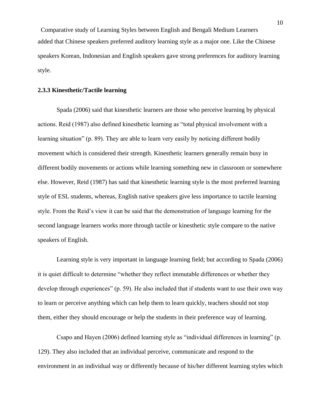Comparative study of Learning Styles between English and Bengali Medium Learners added that Chinese speakers preferred auditory learning style as a major one. Like the Chinese speakers Korean, Indonesian and English speakers gave strong preferences for auditory learning style.

### **2.3.3 Kinesthetic/Tactile learning**

Spada (2006) said that kinesthetic learners are those who perceive learning by physical actions. Reid (1987) also defined kinesthetic learning as "total physical involvement with a learning situation" (p. 89). They are able to learn very easily by noticing different bodily movement which is considered their strength. Kinesthetic learners generally remain busy in different bodily movements or actions while learning something new in classroom or somewhere else. However, Reid (1987) has said that kinesthetic learning style is the most preferred learning style of ESL students, whereas, English native speakers give less importance to tactile learning style. From the Reid"s view it can be said that the demonstration of language learning for the second language learners works more through tactile or kinesthetic style compare to the native speakers of English.

Learning style is very important in language learning field; but according to Spada (2006) it is quiet difficult to determine "whether they reflect immutable differences or whether they develop through experiences" (p. 59). He also included that if students want to use their own way to learn or perceive anything which can help them to learn quickly, teachers should not stop them, either they should encourage or help the students in their preference way of learning.

Csapo and Hayen (2006) defined learning style as "individual differences in learning" (p. 129). They also included that an individual perceive, communicate and respond to the environment in an individual way or differently because of his/her different learning styles which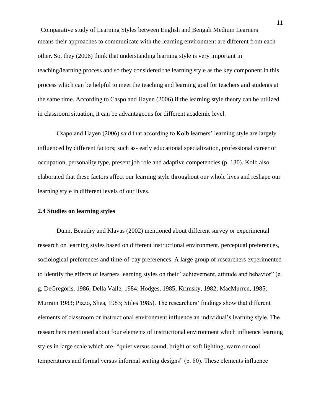Comparative study of Learning Styles between English and Bengali Medium Learners means their approaches to communicate with the learning environment are different from each other. So, they (2006) think that understanding learning style is very important in teaching/learning process and so they considered the learning style as the key component in this process which can be helpful to meet the teaching and learning goal for teachers and students at the same time. According to Caspo and Hayen (2006) if the learning style theory can be utilized in classroom situation, it can be advantageous for different academic level.

Csapo and Hayen (2006) said that according to Kolb learners" learning style are largely influenced by different factors; such as- early educational specialization, professional career or occupation, personality type, present job role and adaptive competencies (p. 130). Kolb also elaborated that these factors affect our learning style throughout our whole lives and reshape our learning style in different levels of our lives.

### **2.4 Studies on learning styles**

Dunn, Beaudry and Klavas (2002) mentioned about different survey or experimental research on learning styles based on different instructional environment, perceptual preferences, sociological preferences and time-of-day preferences. A large group of researchers experimented to identify the effects of learners learning styles on their "achievement, attitude and behavior" (e. g. DeGregoris, 1986; Della Valle, 1984; Hodges, 1985; Krimsky, 1982; MacMurren, 1985; Murrain 1983; Pizzo, Shea, 1983; Stiles 1985). The researchers" findings show that different elements of classroom or instructional environment influence an individual"s learning style. The researchers mentioned about four elements of instructional environment which influence learning styles in large scale which are- "quiet versus sound, bright or soft lighting, warm or cool temperatures and formal versus informal seating designs" (p. 80). These elements influence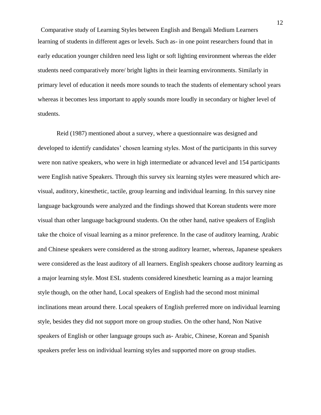Comparative study of Learning Styles between English and Bengali Medium Learners learning of students in different ages or levels. Such as- in one point researchers found that in early education younger children need less light or soft lighting environment whereas the elder students need comparatively more/ bright lights in their learning environments. Similarly in primary level of education it needs more sounds to teach the students of elementary school years whereas it becomes less important to apply sounds more loudly in secondary or higher level of students.

Reid (1987) mentioned about a survey, where a questionnaire was designed and developed to identify candidates" chosen learning styles. Most of the participants in this survey were non native speakers, who were in high intermediate or advanced level and 154 participants were English native Speakers. Through this survey six learning styles were measured which arevisual, auditory, kinesthetic, tactile, group learning and individual learning. In this survey nine language backgrounds were analyzed and the findings showed that Korean students were more visual than other language background students. On the other hand, native speakers of English take the choice of visual learning as a minor preference. In the case of auditory learning, Arabic and Chinese speakers were considered as the strong auditory learner, whereas, Japanese speakers were considered as the least auditory of all learners. English speakers choose auditory learning as a major learning style. Most ESL students considered kinesthetic learning as a major learning style though, on the other hand, Local speakers of English had the second most minimal inclinations mean around there. Local speakers of English preferred more on individual learning style, besides they did not support more on group studies. On the other hand, Non Native speakers of English or other language groups such as- Arabic, Chinese, Korean and Spanish speakers prefer less on individual learning styles and supported more on group studies.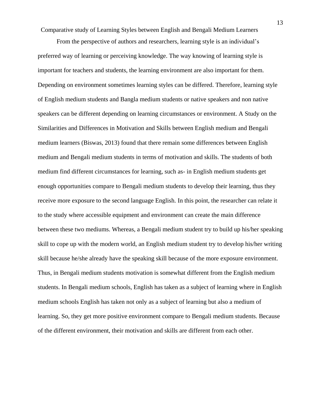From the perspective of authors and researchers, learning style is an individual"s preferred way of learning or perceiving knowledge. The way knowing of learning style is important for teachers and students, the learning environment are also important for them. Depending on environment sometimes learning styles can be differed. Therefore, learning style of English medium students and Bangla medium students or native speakers and non native speakers can be different depending on learning circumstances or environment. A Study on the Similarities and Differences in Motivation and Skills between English medium and Bengali medium learners (Biswas, 2013) found that there remain some differences between English medium and Bengali medium students in terms of motivation and skills. The students of both medium find different circumstances for learning, such as- in English medium students get enough opportunities compare to Bengali medium students to develop their learning, thus they receive more exposure to the second language English. In this point, the researcher can relate it to the study where accessible equipment and environment can create the main difference between these two mediums. Whereas, a Bengali medium student try to build up his/her speaking skill to cope up with the modern world, an English medium student try to develop his/her writing skill because he/she already have the speaking skill because of the more exposure environment. Thus, in Bengali medium students motivation is somewhat different from the English medium students. In Bengali medium schools, English has taken as a subject of learning where in English medium schools English has taken not only as a subject of learning but also a medium of learning. So, they get more positive environment compare to Bengali medium students. Because of the different environment, their motivation and skills are different from each other.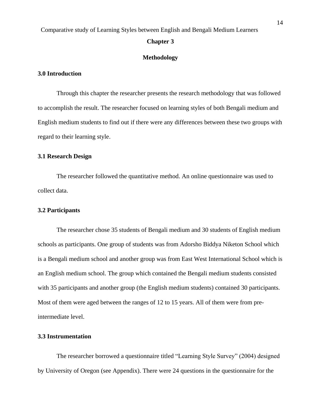### **Chapter 3**

### **Methodology**

### **3.0 Introduction**

Through this chapter the researcher presents the research methodology that was followed to accomplish the result. The researcher focused on learning styles of both Bengali medium and English medium students to find out if there were any differences between these two groups with regard to their learning style.

### **3.1 Research Design**

The researcher followed the quantitative method. An online questionnaire was used to collect data.

### **3.2 Participants**

The researcher chose 35 students of Bengali medium and 30 students of English medium schools as participants. One group of students was from Adorsho Biddya Niketon School which is a Bengali medium school and another group was from East West International School which is an English medium school. The group which contained the Bengali medium students consisted with 35 participants and another group (the English medium students) contained 30 participants. Most of them were aged between the ranges of 12 to 15 years. All of them were from preintermediate level.

### **3.3 Instrumentation**

The researcher borrowed a questionnaire titled "Learning Style Survey" (2004) designed by University of Oregon (see Appendix). There were 24 questions in the questionnaire for the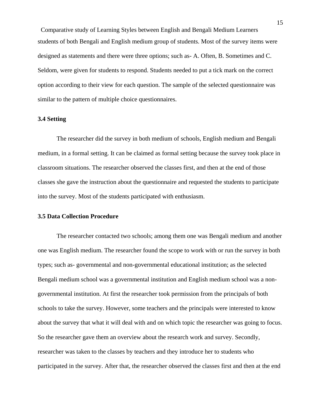Comparative study of Learning Styles between English and Bengali Medium Learners students of both Bengali and English medium group of students. Most of the survey items were designed as statements and there were three options; such as- A. Often, B. Sometimes and C. Seldom, were given for students to respond. Students needed to put a tick mark on the correct option according to their view for each question. The sample of the selected questionnaire was similar to the pattern of multiple choice questionnaires.

### **3.4 Setting**

The researcher did the survey in both medium of schools, English medium and Bengali medium, in a formal setting. It can be claimed as formal setting because the survey took place in classroom situations. The researcher observed the classes first, and then at the end of those classes she gave the instruction about the questionnaire and requested the students to participate into the survey. Most of the students participated with enthusiasm.

### **3.5 Data Collection Procedure**

The researcher contacted two schools; among them one was Bengali medium and another one was English medium. The researcher found the scope to work with or run the survey in both types; such as- governmental and non-governmental educational institution; as the selected Bengali medium school was a governmental institution and English medium school was a nongovernmental institution. At first the researcher took permission from the principals of both schools to take the survey. However, some teachers and the principals were interested to know about the survey that what it will deal with and on which topic the researcher was going to focus. So the researcher gave them an overview about the research work and survey. Secondly, researcher was taken to the classes by teachers and they introduce her to students who participated in the survey. After that, the researcher observed the classes first and then at the end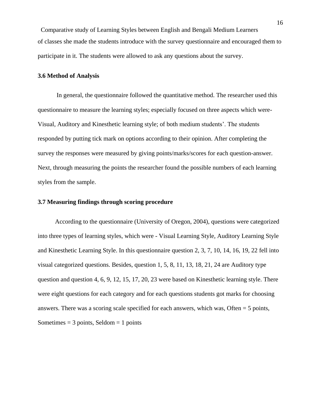Comparative study of Learning Styles between English and Bengali Medium Learners of classes she made the students introduce with the survey questionnaire and encouraged them to participate in it. The students were allowed to ask any questions about the survey.

### **3.6 Method of Analysis**

In general, the questionnaire followed the quantitative method. The researcher used this questionnaire to measure the learning styles; especially focused on three aspects which were-Visual, Auditory and Kinesthetic learning style; of both medium students". The students responded by putting tick mark on options according to their opinion. After completing the survey the responses were measured by giving points/marks/scores for each question-answer. Next, through measuring the points the researcher found the possible numbers of each learning styles from the sample.

### **3.7 Measuring findings through scoring procedure**

 According to the questionnaire (University of Oregon, 2004), questions were categorized into three types of learning styles, which were - Visual Learning Style, Auditory Learning Style and Kinesthetic Learning Style. In this questionnaire question 2, 3, 7, 10, 14, 16, 19, 22 fell into visual categorized questions. Besides, question 1, 5, 8, 11, 13, 18, 21, 24 are Auditory type question and question 4, 6, 9, 12, 15, 17, 20, 23 were based on Kinesthetic learning style. There were eight questions for each category and for each questions students got marks for choosing answers. There was a scoring scale specified for each answers, which was, Often = 5 points, Sometimes  $= 3$  points, Seldom  $= 1$  points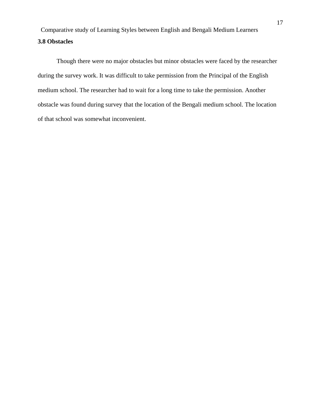Though there were no major obstacles but minor obstacles were faced by the researcher during the survey work. It was difficult to take permission from the Principal of the English medium school. The researcher had to wait for a long time to take the permission. Another obstacle was found during survey that the location of the Bengali medium school. The location of that school was somewhat inconvenient.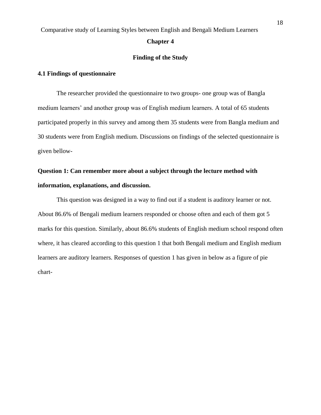### **Chapter 4**

### **Finding of the Study**

### **4.1 Findings of questionnaire**

The researcher provided the questionnaire to two groups- one group was of Bangla medium learners' and another group was of English medium learners. A total of 65 students participated properly in this survey and among them 35 students were from Bangla medium and 30 students were from English medium. Discussions on findings of the selected questionnaire is given bellow-

## **Question 1: Can remember more about a subject through the lecture method with information, explanations, and discussion.**

This question was designed in a way to find out if a student is auditory learner or not. About 86.6% of Bengali medium learners responded or choose often and each of them got 5 marks for this question. Similarly, about 86.6% students of English medium school respond often where, it has cleared according to this question 1 that both Bengali medium and English medium learners are auditory learners. Responses of question 1 has given in below as a figure of pie chart-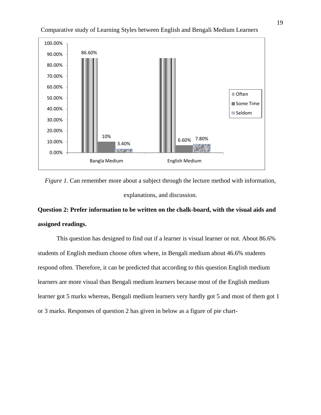



## **Question 2: Prefer information to be written on the chalk-board, with the visual aids and assigned readings.**

This question has designed to find out if a learner is visual learner or not. About 86.6% students of English medium choose often where, in Bengali medium about 46.6% students respond often. Therefore, it can be predicted that according to this question English medium learners are more visual than Bengali medium learners because most of the English medium learner got 5 marks whereas, Bengali medium learners very hardly got 5 and most of them got 1 or 3 marks. Responses of question 2 has given in below as a figure of pie chart-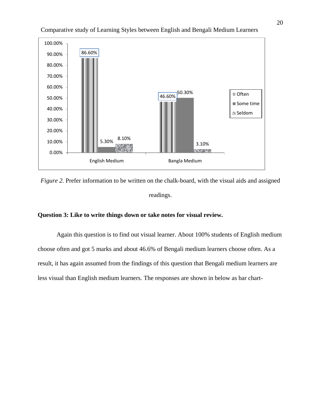



### **Question 3: Like to write things down or take notes for visual review.**

Again this question is to find out visual learner. About 100% students of English medium choose often and got 5 marks and about 46.6% of Bengali medium learners choose often. As a result, it has again assumed from the findings of this question that Bengali medium learners are less visual than English medium learners. The responses are shown in below as bar chart-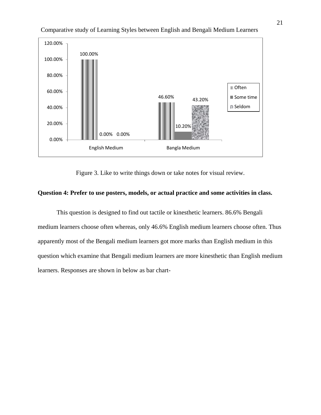

Figure 3. Like to write things down or take notes for visual review.

### **Question 4: Prefer to use posters, models, or actual practice and some activities in class.**

This question is designed to find out tactile or kinesthetic learners. 86.6% Bengali medium learners choose often whereas, only 46.6% English medium learners choose often. Thus apparently most of the Bengali medium learners got more marks than English medium in this question which examine that Bengali medium learners are more kinesthetic than English medium learners. Responses are shown in below as bar chart-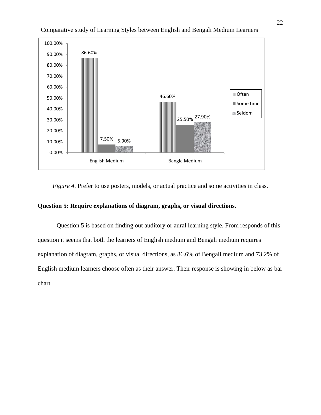

*Figure 4.* Prefer to use posters, models, or actual practice and some activities in class.

### **Question 5: Require explanations of diagram, graphs, or visual directions.**

Question 5 is based on finding out auditory or aural learning style. From responds of this question it seems that both the learners of English medium and Bengali medium requires explanation of diagram, graphs, or visual directions, as 86.6% of Bengali medium and 73.2% of English medium learners choose often as their answer. Their response is showing in below as bar chart.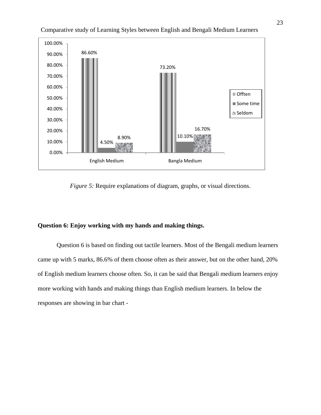

*Figure 5:* Require explanations of diagram, graphs, or visual directions.

### **Question 6: Enjoy working with my hands and making things.**

Question 6 is based on finding out tactile learners. Most of the Bengali medium learners came up with 5 marks, 86.6% of them choose often as their answer, but on the other hand, 20% of English medium learners choose often. So, it can be said that Bengali medium learners enjoy more working with hands and making things than English medium learners. In below the responses are showing in bar chart -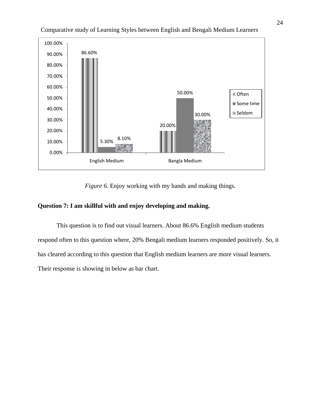

*Figure 6.* Enjoy working with my hands and making things.

## **Question 7: I am skillful with and enjoy developing and making.**

This question is to find out visual learners. About 86.6% English medium students respond often to this question where, 20% Bengali medium learners responded positively. So, it has cleared according to this question that English medium learners are more visual learners. Their response is showing in below as bar chart.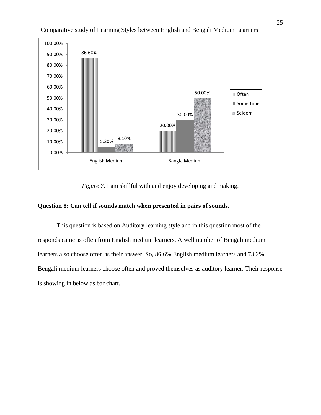

*Figure 7.* I am skillful with and enjoy developing and making.

### **Question 8: Can tell if sounds match when presented in pairs of sounds.**

This question is based on Auditory learning style and in this question most of the responds came as often from English medium learners. A well number of Bengali medium learners also choose often as their answer. So, 86.6% English medium learners and 73.2% Bengali medium learners choose often and proved themselves as auditory learner. Their response is showing in below as bar chart.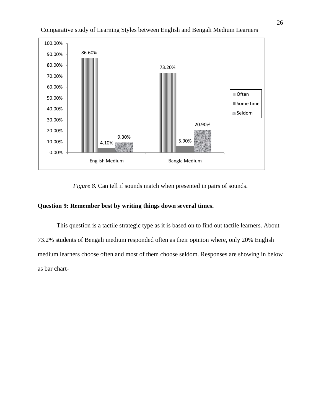

*Figure 8.* Can tell if sounds match when presented in pairs of sounds.

## **Question 9: Remember best by writing things down several times.**

This question is a tactile strategic type as it is based on to find out tactile learners. About 73.2% students of Bengali medium responded often as their opinion where, only 20% English medium learners choose often and most of them choose seldom. Responses are showing in below as bar chart-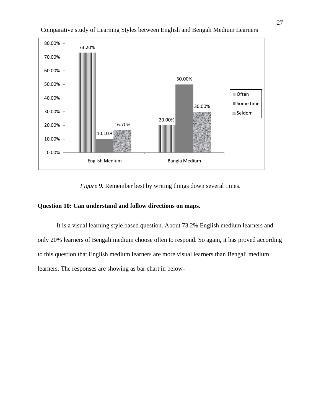

*Figure 9.* Remember best by writing things down several times.

## **Question 10: Can understand and follow directions on maps.**

It is a visual learning style based question. About 73.2% English medium learners and only 20% learners of Bengali medium choose often to respond. So again, it has proved according to this question that English medium learners are more visual learners than Bengali medium learners. The responses are showing as bar chart in below-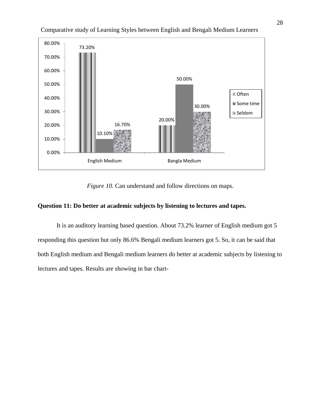

*Figure 10.* Can understand and follow directions on maps.

### **Question 11: Do better at academic subjects by listening to lectures and tapes.**

It is an auditory learning based question. About 73.2% learner of English medium got 5 responding this question but only 86.6% Bengali medium learners got 5. So, it can be said that both English medium and Bengali medium learners do better at academic subjects by listening to lectures and tapes. Results are showing in bar chart-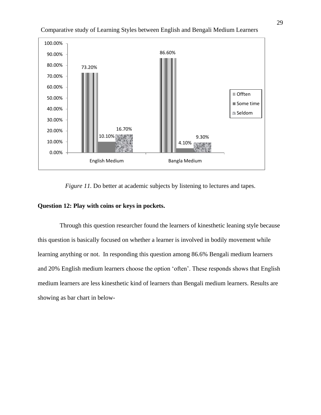

*Figure 11.* Do better at academic subjects by listening to lectures and tapes.

### **Question 12: Play with coins or keys in pockets.**

 Through this question researcher found the learners of kinesthetic leaning style because this question is basically focused on whether a learner is involved in bodily movement while learning anything or not. In responding this question among 86.6% Bengali medium learners and 20% English medium learners choose the option "often". These responds shows that English medium learners are less kinesthetic kind of learners than Bengali medium learners. Results are showing as bar chart in below-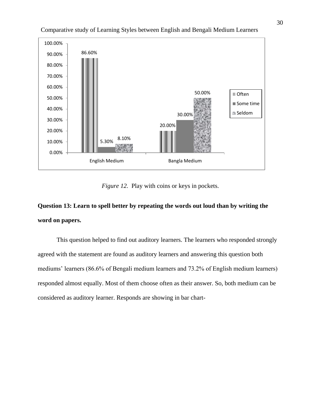

*Figure 12.* Play with coins or keys in pockets.

# **Question 13: Learn to spell better by repeating the words out loud than by writing the word on papers.**

This question helped to find out auditory learners. The learners who responded strongly agreed with the statement are found as auditory learners and answering this question both mediums' learners (86.6% of Bengali medium learners and 73.2% of English medium learners) responded almost equally. Most of them choose often as their answer. So, both medium can be considered as auditory learner. Responds are showing in bar chart-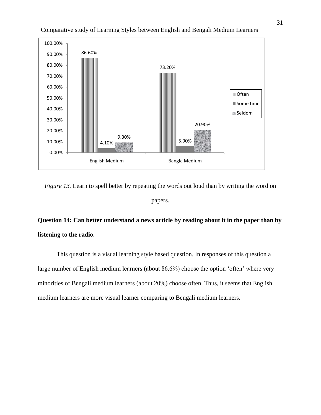

*Figure 13.* Learn to spell better by repeating the words out loud than by writing the word on papers.

**Question 14: Can better understand a news article by reading about it in the paper than by listening to the radio.**

This question is a visual learning style based question. In responses of this question a large number of English medium learners (about 86.6%) choose the option "often" where very minorities of Bengali medium learners (about 20%) choose often. Thus, it seems that English medium learners are more visual learner comparing to Bengali medium learners.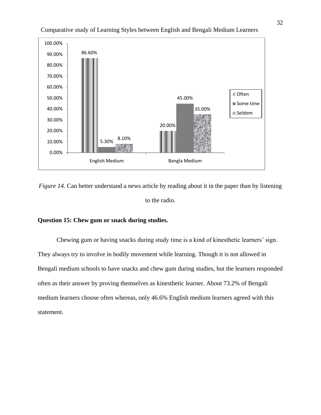

*Figure 14.* Can better understand a news article by reading about it in the paper than by listening to the radio.

### **Question 15: Chew gum or snack during studies.**

Chewing gum or having snacks during study time is a kind of kinesthetic learners" sign. They always try to involve in bodily movement while learning. Though it is not allowed in Bengali medium schools to have snacks and chew gum during studies, but the learners responded often as their answer by proving themselves as kinesthetic learner. About 73.2% of Bengali medium learners choose often whereas, only 46.6% English medium learners agreed with this statement.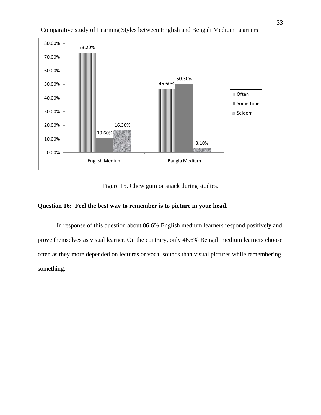

Figure 15. Chew gum or snack during studies.

## **Question 16: Feel the best way to remember is to picture in your head.**

In response of this question about 86.6% English medium learners respond positively and prove themselves as visual learner. On the contrary, only 46.6% Bengali medium learners choose often as they more depended on lectures or vocal sounds than visual pictures while remembering something.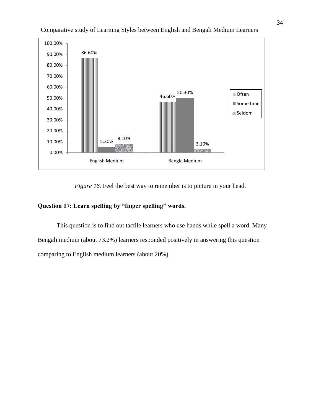

*Figure 16.* Feel the best way to remember is to picture in your head.

## **Question 17: Learn spelling by "finger spelling" words.**

This question is to find out tactile learners who use hands while spell a word. Many Bengali medium (about 73.2%) learners responded positively in answering this question comparing to English medium learners (about 20%).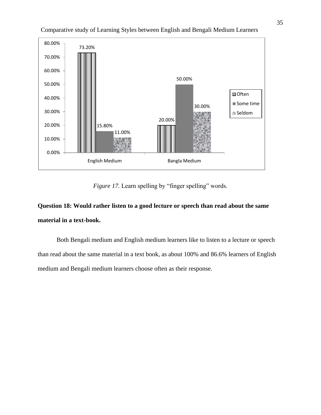

*Figure 17.* Learn spelling by "finger spelling" words.

# **Question 18: Would rather listen to a good lecture or speech than read about the same material in a text-book.**

Both Bengali medium and English medium learners like to listen to a lecture or speech than read about the same material in a text book, as about 100% and 86.6% learners of English medium and Bengali medium learners choose often as their response.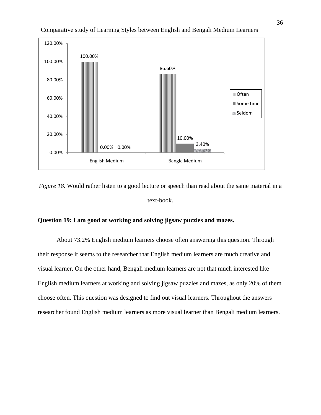

*Figure 18.* Would rather listen to a good lecture or speech than read about the same material in a text-book.

### **Question 19: I am good at working and solving jigsaw puzzles and mazes.**

About 73.2% English medium learners choose often answering this question. Through their response it seems to the researcher that English medium learners are much creative and visual learner. On the other hand, Bengali medium learners are not that much interested like English medium learners at working and solving jigsaw puzzles and mazes, as only 20% of them choose often. This question was designed to find out visual learners. Throughout the answers researcher found English medium learners as more visual learner than Bengali medium learners.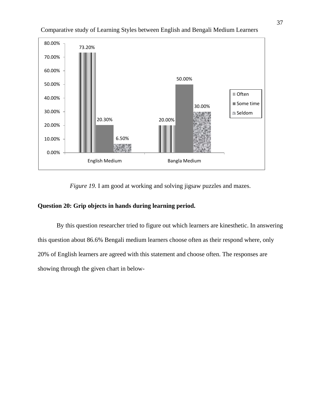

*Figure 19.* I am good at working and solving jigsaw puzzles and mazes.

## **Question 20: Grip objects in hands during learning period.**

By this question researcher tried to figure out which learners are kinesthetic. In answering this question about 86.6% Bengali medium learners choose often as their respond where, only 20% of English learners are agreed with this statement and choose often. The responses are showing through the given chart in below-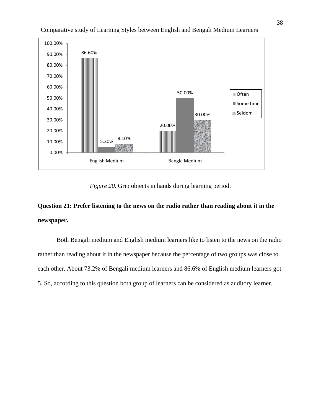

*Figure 20.* Grip objects in hands during learning period.

# **Question 21: Prefer listening to the news on the radio rather than reading about it in the newspaper.**

Both Bengali medium and English medium learners like to listen to the news on the radio rather than reading about it in the newspaper because the percentage of two groups was close to each other. About 73.2% of Bengali medium learners and 86.6% of English medium learners got 5. So, according to this question both group of learners can be considered as auditory learner.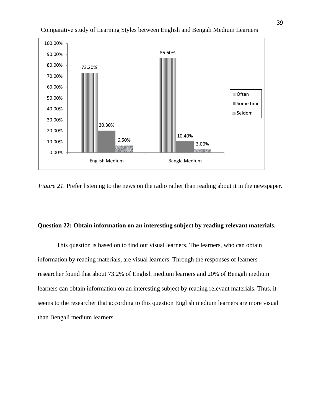

*Figure 21.* Prefer listening to the news on the radio rather than reading about it in the newspaper.

### **Question 22: Obtain information on an interesting subject by reading relevant materials.**

This question is based on to find out visual learners. The learners, who can obtain information by reading materials, are visual learners. Through the responses of learners researcher found that about 73.2% of English medium learners and 20% of Bengali medium learners can obtain information on an interesting subject by reading relevant materials. Thus, it seems to the researcher that according to this question English medium learners are more visual than Bengali medium learners.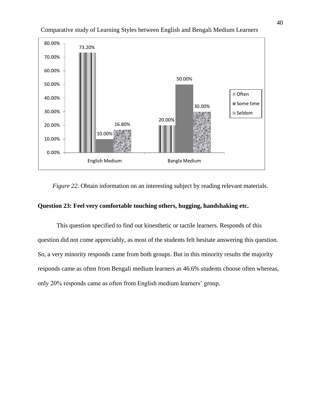

*Figure 22.* Obtain information on an interesting subject by reading relevant materials.

### **Question 23: Feel very comfortable touching others, hugging, handshaking etc.**

This question specified to find out kinesthetic or tactile learners. Responds of this question did not come appreciably, as most of the students felt hesitate answering this question. So, a very minority responds came from both groups. But in this minority results the majority responds came as often from Bengali medium learners as 46.6% students choose often whereas, only 20% responds came as often from English medium learners" group.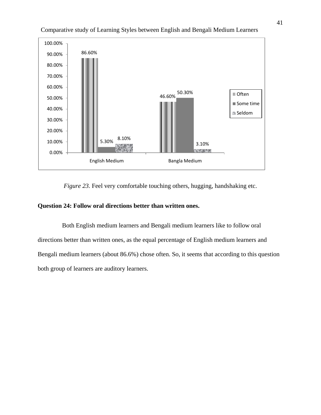

*Figure 23.* Feel very comfortable touching others, hugging, handshaking etc.

## **Question 24: Follow oral directions better than written ones.**

Both English medium learners and Bengali medium learners like to follow oral directions better than written ones, as the equal percentage of English medium learners and Bengali medium learners (about 86.6%) chose often. So, it seems that according to this question both group of learners are auditory learners.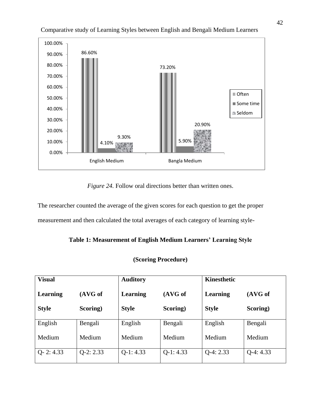

*Figure 24.* Follow oral directions better than written ones.

The researcher counted the average of the given scores for each question to get the proper measurement and then calculated the total averages of each category of learning style-

## **Table 1: Measurement of English Medium Learners' Learning Style**

### **(Scoring Procedure)**

| <b>Visual</b> |             | <b>Auditory</b> |             | <b>Kinesthetic</b> |             |
|---------------|-------------|-----------------|-------------|--------------------|-------------|
| Learning      | (AVG of     | <b>Learning</b> | (AVG of     | Learning           | (AVG of     |
| <b>Style</b>  | Scoring)    | <b>Style</b>    | Scoring)    | <b>Style</b>       | Scoring)    |
| English       | Bengali     | English         | Bengali     | English            | Bengali     |
| Medium        | Medium      | Medium          | Medium      | Medium             | Medium      |
| $Q - 2: 4.33$ | $Q-2: 2.33$ | $Q-1: 4.33$     | $Q-1: 4.33$ | $Q-4: 2.33$        | $Q-4: 4.33$ |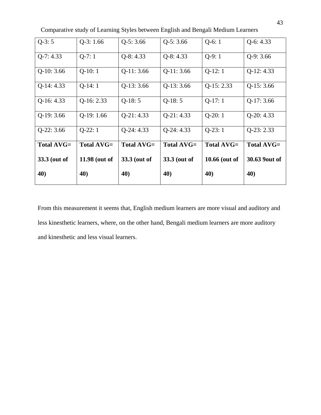| $Q-3:5$           | $Q-3:1.66$        | $Q-5: 3.66$       | $Q-5: 3.66$  | $Q-6:1$           | $Q-6: 4.33$       |
|-------------------|-------------------|-------------------|--------------|-------------------|-------------------|
| $Q-7: 4.33$       | $Q-7:1$           | $Q-8: 4.33$       | $Q-8: 4.33$  | $Q-9:1$           | $Q-9: 3.66$       |
| $Q-10: 3.66$      | $Q-10:1$          | $Q-11: 3.66$      | $Q-11: 3.66$ | $Q-12:1$          | $Q-12: 4.33$      |
| $Q-14: 4.33$      | $Q-14:1$          | $Q-13: 3.66$      | $Q-13: 3.66$ | $Q-15: 2.33$      | $Q-15: 3.66$      |
| $Q-16: 4.33$      | $Q-16: 2.33$      | $Q-18:5$          | $Q-18:5$     | $Q-17:1$          | $Q-17: 3.66$      |
| $Q-19: 3.66$      | $Q-19:1.66$       | $Q-21: 4.33$      | $Q-21: 4.33$ | $Q-20:1$          | $Q-20: 4.33$      |
| $Q-22: 3.66$      | $Q-22:1$          | $Q-24:4.33$       | $Q-24: 4.33$ | $Q-23:1$          | $Q-23: 2.33$      |
| <b>Total AVG=</b> | <b>Total AVG=</b> | <b>Total AVG=</b> | Total AVG=   | <b>Total AVG=</b> | <b>Total AVG=</b> |
| 33.3 (out of      | 11.98 (out of     | 33.3 (out of      | 33.3 (out of | 10.66 (out of     | 30.63 9out of     |
| 40)               | 40)               | 40)               | 40)          | 40)               | 40)               |

Comparative study of Learning Styles between English and Bengali Medium Learners

From this measurement it seems that, English medium learners are more visual and auditory and less kinesthetic learners, where, on the other hand, Bengali medium learners are more auditory and kinesthetic and less visual learners.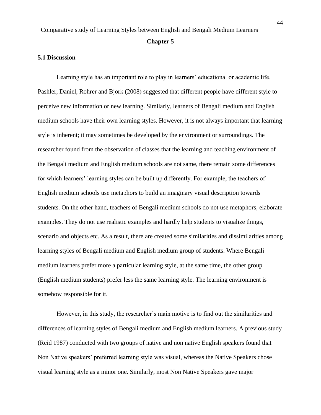### **5.1 Discussion**

Learning style has an important role to play in learners' educational or academic life. Pashler, Daniel, Rohrer and Bjork (2008) suggested that different people have different style to perceive new information or new learning. Similarly, learners of Bengali medium and English medium schools have their own learning styles. However, it is not always important that learning style is inherent; it may sometimes be developed by the environment or surroundings. The researcher found from the observation of classes that the learning and teaching environment of the Bengali medium and English medium schools are not same, there remain some differences for which learners' learning styles can be built up differently. For example, the teachers of English medium schools use metaphors to build an imaginary visual description towards students. On the other hand, teachers of Bengali medium schools do not use metaphors, elaborate examples. They do not use realistic examples and hardly help students to visualize things, scenario and objects etc. As a result, there are created some similarities and dissimilarities among learning styles of Bengali medium and English medium group of students. Where Bengali medium learners prefer more a particular learning style, at the same time, the other group (English medium students) prefer less the same learning style. The learning environment is somehow responsible for it.

However, in this study, the researcher"s main motive is to find out the similarities and differences of learning styles of Bengali medium and English medium learners. A previous study (Reid 1987) conducted with two groups of native and non native English speakers found that Non Native speakers" preferred learning style was visual, whereas the Native Speakers chose visual learning style as a minor one. Similarly, most Non Native Speakers gave major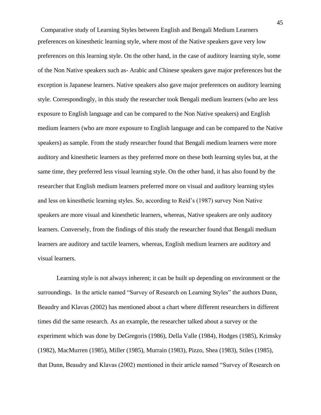Comparative study of Learning Styles between English and Bengali Medium Learners preferences on kinesthetic learning style, where most of the Native speakers gave very low preferences on this learning style. On the other hand, in the case of auditory learning style, some of the Non Native speakers such as- Arabic and Chinese speakers gave major preferences but the exception is Japanese learners. Native speakers also gave major preferences on auditory learning style. Correspondingly, in this study the researcher took Bengali medium learners (who are less exposure to English language and can be compared to the Non Native speakers) and English medium learners (who are more exposure to English language and can be compared to the Native speakers) as sample. From the study researcher found that Bengali medium learners were more auditory and kinesthetic learners as they preferred more on these both learning styles but, at the same time, they preferred less visual learning style. On the other hand, it has also found by the researcher that English medium learners preferred more on visual and auditory learning styles and less on kinesthetic learning styles. So, according to Reid"s (1987) survey Non Native speakers are more visual and kinesthetic learners, whereas, Native speakers are only auditory learners. Conversely, from the findings of this study the researcher found that Bengali medium learners are auditory and tactile learners, whereas, English medium learners are auditory and visual learners.

Learning style is not always inherent; it can be built up depending on environment or the surroundings. In the article named "Survey of Research on Learning Styles" the authors Dunn, Beaudry and Klavas (2002) has mentioned about a chart where different researchers in different times did the same research. As an example, the researcher talked about a survey or the experiment which was done by DeGregoris (1986), Della Valle (1984), Hodges (1985), Krimsky (1982), MacMurren (1985), Miller (1985), Murrain (1983), Pizzo, Shea (1983), Stiles (1985), that Dunn, Beaudry and Klavas (2002) mentioned in their article named "Survey of Research on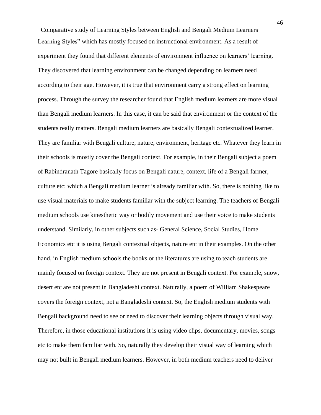Comparative study of Learning Styles between English and Bengali Medium Learners Learning Styles" which has mostly focused on instructional environment. As a result of experiment they found that different elements of environment influence on learners' learning. They discovered that learning environment can be changed depending on learners need according to their age. However, it is true that environment carry a strong effect on learning process. Through the survey the researcher found that English medium learners are more visual than Bengali medium learners. In this case, it can be said that environment or the context of the students really matters. Bengali medium learners are basically Bengali contextualized learner. They are familiar with Bengali culture, nature, environment, heritage etc. Whatever they learn in their schools is mostly cover the Bengali context. For example, in their Bengali subject a poem of Rabindranath Tagore basically focus on Bengali nature, context, life of a Bengali farmer, culture etc; which a Bengali medium learner is already familiar with. So, there is nothing like to use visual materials to make students familiar with the subject learning. The teachers of Bengali medium schools use kinesthetic way or bodily movement and use their voice to make students understand. Similarly, in other subjects such as- General Science, Social Studies, Home Economics etc it is using Bengali contextual objects, nature etc in their examples. On the other hand, in English medium schools the books or the literatures are using to teach students are mainly focused on foreign context. They are not present in Bengali context. For example, snow, desert etc are not present in Bangladeshi context. Naturally, a poem of William Shakespeare covers the foreign context, not a Bangladeshi context. So, the English medium students with Bengali background need to see or need to discover their learning objects through visual way. Therefore, in those educational institutions it is using video clips, documentary, movies, songs etc to make them familiar with. So, naturally they develop their visual way of learning which may not built in Bengali medium learners. However, in both medium teachers need to deliver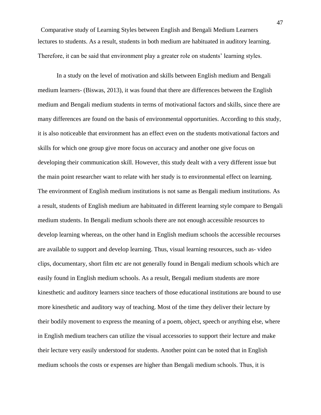Comparative study of Learning Styles between English and Bengali Medium Learners lectures to students. As a result, students in both medium are habituated in auditory learning. Therefore, it can be said that environment play a greater role on students' learning styles.

In a study on the level of motivation and skills between English medium and Bengali medium learners- (Biswas, 2013), it was found that there are differences between the English medium and Bengali medium students in terms of motivational factors and skills, since there are many differences are found on the basis of environmental opportunities. According to this study, it is also noticeable that environment has an effect even on the students motivational factors and skills for which one group give more focus on accuracy and another one give focus on developing their communication skill. However, this study dealt with a very different issue but the main point researcher want to relate with her study is to environmental effect on learning. The environment of English medium institutions is not same as Bengali medium institutions. As a result, students of English medium are habituated in different learning style compare to Bengali medium students. In Bengali medium schools there are not enough accessible resources to develop learning whereas, on the other hand in English medium schools the accessible recourses are available to support and develop learning. Thus, visual learning resources, such as- video clips, documentary, short film etc are not generally found in Bengali medium schools which are easily found in English medium schools. As a result, Bengali medium students are more kinesthetic and auditory learners since teachers of those educational institutions are bound to use more kinesthetic and auditory way of teaching. Most of the time they deliver their lecture by their bodily movement to express the meaning of a poem, object, speech or anything else, where in English medium teachers can utilize the visual accessories to support their lecture and make their lecture very easily understood for students. Another point can be noted that in English medium schools the costs or expenses are higher than Bengali medium schools. Thus, it is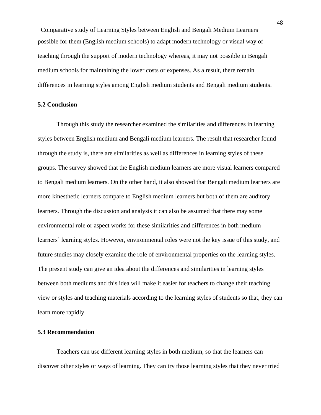Comparative study of Learning Styles between English and Bengali Medium Learners possible for them (English medium schools) to adapt modern technology or visual way of teaching through the support of modern technology whereas, it may not possible in Bengali medium schools for maintaining the lower costs or expenses. As a result, there remain differences in learning styles among English medium students and Bengali medium students.

### **5.2 Conclusion**

Through this study the researcher examined the similarities and differences in learning styles between English medium and Bengali medium learners. The result that researcher found through the study is, there are similarities as well as differences in learning styles of these groups. The survey showed that the English medium learners are more visual learners compared to Bengali medium learners. On the other hand, it also showed that Bengali medium learners are more kinesthetic learners compare to English medium learners but both of them are auditory learners. Through the discussion and analysis it can also be assumed that there may some environmental role or aspect works for these similarities and differences in both medium learners' learning styles. However, environmental roles were not the key issue of this study, and future studies may closely examine the role of environmental properties on the learning styles. The present study can give an idea about the differences and similarities in learning styles between both mediums and this idea will make it easier for teachers to change their teaching view or styles and teaching materials according to the learning styles of students so that, they can learn more rapidly.

### **5.3 Recommendation**

Teachers can use different learning styles in both medium, so that the learners can discover other styles or ways of learning. They can try those learning styles that they never tried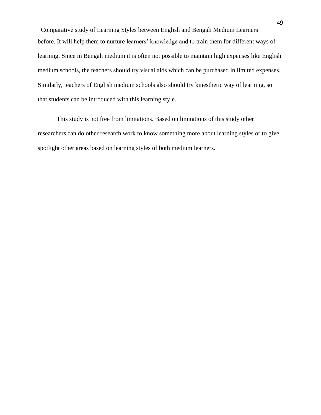Comparative study of Learning Styles between English and Bengali Medium Learners before. It will help them to nurture learners' knowledge and to train them for different ways of learning. Since in Bengali medium it is often not possible to maintain high expenses like English medium schools, the teachers should try visual aids which can be purchased in limited expenses. Similarly, teachers of English medium schools also should try kinesthetic way of learning, so that students can be introduced with this learning style.

This study is not free from limitations. Based on limitations of this study other researchers can do other research work to know something more about learning styles or to give spotlight other areas based on learning styles of both medium learners.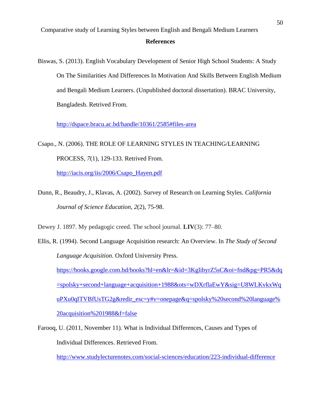Biswas, S. (2013). English Vocabulary Development of Senior High School Students: A Study On The Similarities And Differences In Motivation And Skills Between English Medium and Bengali Medium Learners. (Unpublished doctoral dissertation). BRAC University, Bangladesh. Retrived From.

<http://dspace.bracu.ac.bd/handle/10361/2585#files-area>

Csapo., N. (2006). THE ROLE OF LEARNING STYLES IN TEACHING/LEARNING PROCESS, *7*(1), 129-133. Retrived From.

[http://iacis.org/iis/2006/Csapo\\_Hayen.pdf](http://iacis.org/iis/2006/Csapo_Hayen.pdf)

Dunn, R., Beaudry, J., Klavas, A. (2002). Survey of Research on Learning Styles. *California Journal of Science Education, 2*(2), 75-98.

Dewey J. 1897. My pedagogic creed. The school journal. **LIV**(3): 77–80.

- Ellis, R. (1994). Second Language Acquisition research: An Overview. In *The Study of Second Language Acquisition.* Oxford University Press. [https://books.google.com.bd/books?hl=en&lr=&id=3KglibyrZ5sC&oi=fnd&pg=PR5&dq](https://books.google.com.bd/books?hl=en&lr=&id=3KglibyrZ5sC&oi=fnd&pg=PR5&dq=spolsky+second+language+acquisition+1988&ots=wDXrflaEwY&sig=U8WLKvkxWquPXu0qITVBfUsTG2g&redir_esc=y#v=onepage&q=spolsky%20second%20language%20acquisition%201988&f=false) [=spolsky+second+language+acquisition+1988&ots=wDXrflaEwY&sig=U8WLKvkxWq](https://books.google.com.bd/books?hl=en&lr=&id=3KglibyrZ5sC&oi=fnd&pg=PR5&dq=spolsky+second+language+acquisition+1988&ots=wDXrflaEwY&sig=U8WLKvkxWquPXu0qITVBfUsTG2g&redir_esc=y#v=onepage&q=spolsky%20second%20language%20acquisition%201988&f=false) [uPXu0qITVBfUsTG2g&redir\\_esc=y#v=onepage&q=spolsky%20second%20language%](https://books.google.com.bd/books?hl=en&lr=&id=3KglibyrZ5sC&oi=fnd&pg=PR5&dq=spolsky+second+language+acquisition+1988&ots=wDXrflaEwY&sig=U8WLKvkxWquPXu0qITVBfUsTG2g&redir_esc=y#v=onepage&q=spolsky%20second%20language%20acquisition%201988&f=false) [20acquisition%201988&f=false](https://books.google.com.bd/books?hl=en&lr=&id=3KglibyrZ5sC&oi=fnd&pg=PR5&dq=spolsky+second+language+acquisition+1988&ots=wDXrflaEwY&sig=U8WLKvkxWquPXu0qITVBfUsTG2g&redir_esc=y#v=onepage&q=spolsky%20second%20language%20acquisition%201988&f=false)
- Farooq, U. (2011, November 11). What is Individual Differences, Causes and Types of Individual Differences. Retrieved From.

<http://www.studylecturenotes.com/social-sciences/education/223-individual-difference>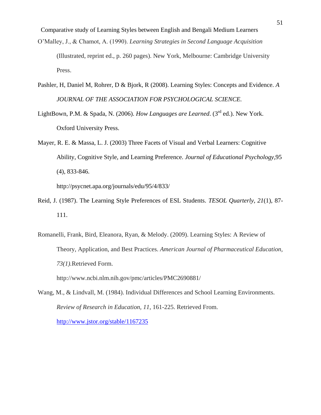Comparative study of Learning Styles between English and Bengali Medium Learners O"Malley, J., & Chamot, A. (1990). *Learning Strategies in Second Language Acquisition* (Illustrated, reprint ed., p. 260 pages). New York, Melbourne: Cambridge University Press.

- Pashler, H, Daniel M, Rohrer, D & Bjork, R (2008). Learning Styles: Concepts and Evidence. *A JOURNAL OF THE ASSOCIATION FOR PSYCHOLOGICAL SCIENCE.*
- LightBown, P.M. & Spada, N. (2006). *How Languages are Learned*. (3<sup>rd</sup> ed.). New York. Oxford University Press.
- Mayer, R. E. & Massa, L. J. (2003) Three Facets of Visual and Verbal Learners: Cognitive Ability, Cognitive Style, and Learning Preference. *Journal of Educational Psychology,*95 (4), 833-846. http://psycnet.apa.org/journals/edu/95/4/833/
- Reid, J. (1987). The Learning Style Preferences of ESL Students. *TESOL Quarterly, 21*(1), 87- 111.
- Romanelli, Frank, Bird, Eleanora, Ryan, & Melody. (2009). Learning Styles: A Review of Theory, Application, and Best Practices. *American Journal of Pharmaceutical Education, 73(1).*Retrieved Form.

http://www.ncbi.nlm.nih.gov/pmc/articles/PMC2690881/

Wang, M., & Lindvall, M. (1984). Individual Differences and School Learning Environments. *Review of Research in Education, 11*, 161-225. Retrieved From. <http://www.jstor.org/stable/1167235>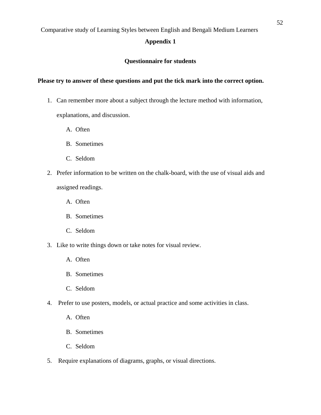### **Appendix 1**

### **Questionnaire for students**

### **Please try to answer of these questions and put the tick mark into the correct option.**

1. Can remember more about a subject through the lecture method with information,

explanations, and discussion.

- A. Often
- B. Sometimes
- C. Seldom
- 2. Prefer information to be written on the chalk-board, with the use of visual aids and assigned readings.
	- A. Often
	- B. Sometimes
	- C. Seldom
- 3. Like to write things down or take notes for visual review.
	- A. Often
	- B. Sometimes
	- C. Seldom
- 4. Prefer to use posters, models, or actual practice and some activities in class.
	- A. Often
	- B. Sometimes
	- C. Seldom
- 5. Require explanations of diagrams, graphs, or visual directions.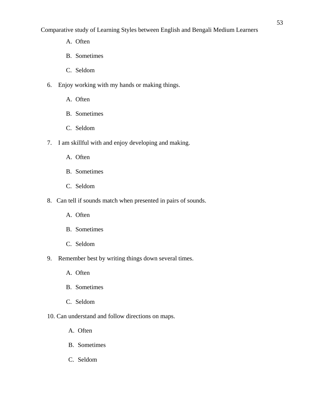- A. Often
- B. Sometimes
- C. Seldom
- 6. Enjoy working with my hands or making things.
	- A. Often
	- B. Sometimes
	- C. Seldom
- 7. I am skillful with and enjoy developing and making.
	- A. Often
	- B. Sometimes
	- C. Seldom
- 8. Can tell if sounds match when presented in pairs of sounds.
	- A. Often
	- B. Sometimes
	- C. Seldom
- 9. Remember best by writing things down several times.
	- A. Often
	- B. Sometimes
	- C. Seldom
- 10. Can understand and follow directions on maps.
	- A. Often
	- B. Sometimes
	- C. Seldom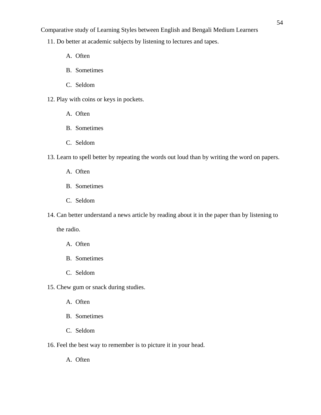- 11. Do better at academic subjects by listening to lectures and tapes.
	- A. Often
	- B. Sometimes
	- C. Seldom
- 12. Play with coins or keys in pockets.
	- A. Often
	- B. Sometimes
	- C. Seldom
- 13. Learn to spell better by repeating the words out loud than by writing the word on papers.
	- A. Often
	- B. Sometimes
	- C. Seldom
- 14. Can better understand a news article by reading about it in the paper than by listening to

the radio.

- A. Often
- B. Sometimes
- C. Seldom
- 15. Chew gum or snack during studies.
	- A. Often
	- B. Sometimes
	- C. Seldom
- 16. Feel the best way to remember is to picture it in your head.

A. Often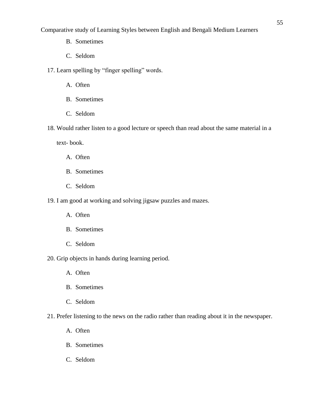- B. Sometimes
- C. Seldom
- 17. Learn spelling by "finger spelling" words.
	- A. Often
	- B. Sometimes
	- C. Seldom
- 18. Would rather listen to a good lecture or speech than read about the same material in a

text- book.

- A. Often
- B. Sometimes
- C. Seldom
- 19. I am good at working and solving jigsaw puzzles and mazes.
	- A. Often
	- B. Sometimes
	- C. Seldom
- 20. Grip objects in hands during learning period.
	- A. Often
	- B. Sometimes
	- C. Seldom
- 21. Prefer listening to the news on the radio rather than reading about it in the newspaper.
	- A. Often
	- B. Sometimes
	- C. Seldom